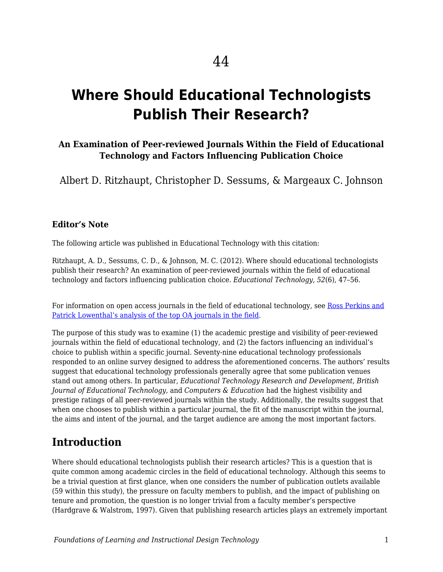# **Where Should Educational Technologists Publish Their Research?**

### **An Examination of Peer-reviewed Journals Within the Field of Educational Technology and Factors Influencing Publication Choice**

Albert D. Ritzhaupt, Christopher D. Sessums, & Margeaux C. Johnson

#### **Editor's Note**

The following article was published in Educational Technology with this citation:

Ritzhaupt, A. D., Sessums, C. D., & Johnson, M. C. (2012). Where should educational technologists publish their research? An examination of peer-reviewed journals within the field of educational technology and factors influencing publication choice. *Educational Technology*, *52*(6), 47–56.

For information on open access journals in the field of educational technology, see [Ross Perkins and](http://ajet.org.au/index.php/AJET/article/view/2578/1358) [Patrick Lowenthal's analysis of the top OA journals in the field.](http://ajet.org.au/index.php/AJET/article/view/2578/1358)

The purpose of this study was to examine (1) the academic prestige and visibility of peer-reviewed journals within the field of educational technology, and (2) the factors influencing an individual's choice to publish within a specific journal. Seventy-nine educational technology professionals responded to an online survey designed to address the aforementioned concerns. The authors' results suggest that educational technology professionals generally agree that some publication venues stand out among others. In particular, *Educational Technology Research and Development, British Journal of Educational Technology,* and *Computers & Education* had the highest visibility and prestige ratings of all peer-reviewed journals within the study. Additionally, the results suggest that when one chooses to publish within a particular journal, the fit of the manuscript within the journal, the aims and intent of the journal, and the target audience are among the most important factors.

## **Introduction**

Where should educational technologists publish their research articles? This is a question that is quite common among academic circles in the field of educational technology. Although this seems to be a trivial question at first glance, when one considers the number of publication outlets available (59 within this study), the pressure on faculty members to publish, and the impact of publishing on tenure and promotion, the question is no longer trivial from a faculty member's perspective (Hardgrave & Walstrom, 1997). Given that publishing research articles plays an extremely important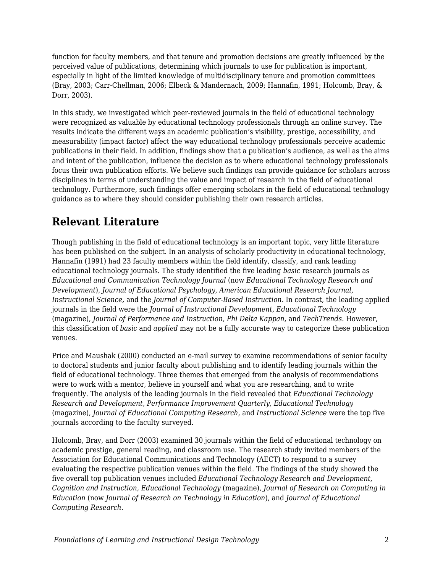function for faculty members, and that tenure and promotion decisions are greatly influenced by the perceived value of publications, determining which journals to use for publication is important, especially in light of the limited knowledge of multidisciplinary tenure and promotion committees (Bray, 2003; Carr-Chellman, 2006; Elbeck & Mandernach, 2009; Hannafin, 1991; Holcomb, Bray, & Dorr, 2003).

In this study, we investigated which peer-reviewed journals in the field of educational technology were recognized as valuable by educational technology professionals through an online survey. The results indicate the different ways an academic publication's visibility, prestige, accessibility, and measurability (impact factor) affect the way educational technology professionals perceive academic publications in their field. In addition, findings show that a publication's audience, as well as the aims and intent of the publication, influence the decision as to where educational technology professionals focus their own publication efforts. We believe such findings can provide guidance for scholars across disciplines in terms of understanding the value and impact of research in the field of educational technology. Furthermore, such findings offer emerging scholars in the field of educational technology guidance as to where they should consider publishing their own research articles.

# **Relevant Literature**

Though publishing in the field of educational technology is an important topic, very little literature has been published on the subject. In an analysis of scholarly productivity in educational technology, Hannafin (1991) had 23 faculty members within the field identify, classify, and rank leading educational technology journals. The study identified the five leading *basic* research journals as *Educational and Communication Technology Journal* (now *Educational Technology Research and Development*), *Journal of Educational Psychology, American Educational Research Journal, Instructional Science,* and the *Journal of Computer-Based Instruction.* In contrast, the leading applied journals in the field were the *Journal of Instructional Development, Educational Technology* (magazine), *Journal of Performance and Instruction, Phi Delta Kappan,* and *TechTrends.* However, this classification of *basic* and *applied* may not be a fully accurate way to categorize these publication venues.

Price and Maushak (2000) conducted an e-mail survey to examine recommendations of senior faculty to doctoral students and junior faculty about publishing and to identify leading journals within the field of educational technology. Three themes that emerged from the analysis of recommendations were to work with a mentor, believe in yourself and what you are researching, and to write frequently. The analysis of the leading journals in the field revealed that *Educational Technology Research and Development, Performance Improvement Quarterly, Educational Technology* (magazine), *Journal of Educational Computing Research,* and *Instructional Science* were the top five journals according to the faculty surveyed.

Holcomb, Bray, and Dorr (2003) examined 30 journals within the field of educational technology on academic prestige, general reading, and classroom use. The research study invited members of the Association for Educational Communications and Technology (AECT) to respond to a survey evaluating the respective publication venues within the field. The findings of the study showed the five overall top publication venues included *Educational Technology Research and Development, Cognition and Instruction, Educational Technology* (magazine), *Journal of Research on Computing in Education* (now *Journal of Research on Technology in Education*), and *Journal of Educational Computing Research.*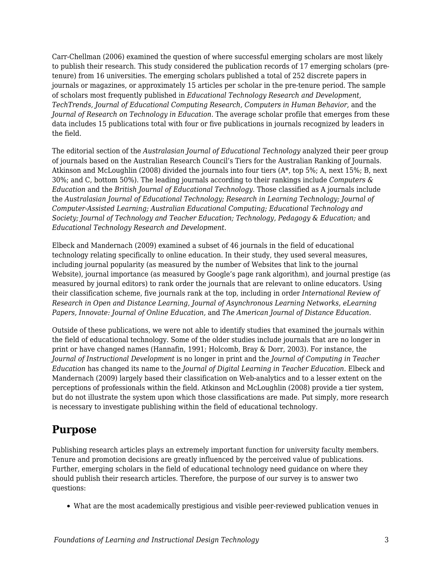Carr-Chellman (2006) examined the question of where successful emerging scholars are most likely to publish their research. This study considered the publication records of 17 emerging scholars (pretenure) from 16 universities. The emerging scholars published a total of 252 discrete papers in journals or magazines, or approximately 15 articles per scholar in the pre-tenure period. The sample of scholars most frequently published in *Educational Technology Research and Development, TechTrends, Journal of Educational Computing Research, Computers in Human Behavior,* and the *Journal of Research on Technology in Education.* The average scholar profile that emerges from these data includes 15 publications total with four or five publications in journals recognized by leaders in the field.

The editorial section of the *Australasian Journal of Educational Technology* analyzed their peer group of journals based on the Australian Research Council's Tiers for the Australian Ranking of Journals. Atkinson and McLoughlin (2008) divided the journals into four tiers (A\*, top 5%; A, next 15%; B, next 30%; and C, bottom 50%). The leading journals according to their rankings include *Computers & Education* and the *British Journal of Educational Technology.* Those classified as A journals include the *Australasian Journal of Educational Technology; Research in Learning Technology; Journal of Computer-Assisted Learning; Australian Educational Computing; Educational Technology and Society; Journal of Technology and Teacher Education; Technology, Pedagogy & Education;* and *Educational Technology Research and Development.*

Elbeck and Mandernach (2009) examined a subset of 46 journals in the field of educational technology relating specifically to online education. In their study, they used several measures, including journal popularity (as measured by the number of Websites that link to the journal Website), journal importance (as measured by Google's page rank algorithm), and journal prestige (as measured by journal editors) to rank order the journals that are relevant to online educators. Using their classification scheme, five journals rank at the top, including in order *International Review of Research in Open and Distance Learning, Journal of Asynchronous Learning Networks, eLearning Papers, Innovate: Journal of Online Education,* and *The American Journal of Distance Education.*

Outside of these publications, we were not able to identify studies that examined the journals within the field of educational technology. Some of the older studies include journals that are no longer in print or have changed names (Hannafin, 1991; Holcomb, Bray & Dorr, 2003). For instance, the *Journal of Instructional Development* is no longer in print and the *Journal of Computing in Teacher Education* has changed its name to the *Journal of Digital Learning in Teacher Education.* Elbeck and Mandernach (2009) largely based their classification on Web-analytics and to a lesser extent on the perceptions of professionals within the field. Atkinson and McLoughlin (2008) provide a tier system, but do not illustrate the system upon which those classifications are made. Put simply, more research is necessary to investigate publishing within the field of educational technology.

# **Purpose**

Publishing research articles plays an extremely important function for university faculty members. Tenure and promotion decisions are greatly influenced by the perceived value of publications. Further, emerging scholars in the field of educational technology need guidance on where they should publish their research articles. Therefore, the purpose of our survey is to answer two questions:

What are the most academically prestigious and visible peer-reviewed publication venues in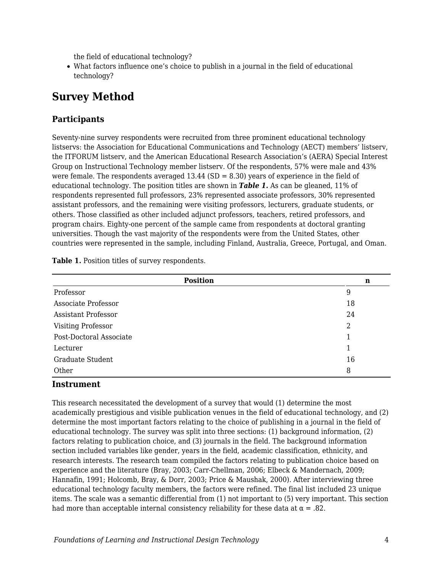the field of educational technology?

What factors influence one's choice to publish in a journal in the field of educational technology?

## **Survey Method**

### **Participants**

Seventy-nine survey respondents were recruited from three prominent educational technology listservs: the Association for Educational Communications and Technology (AECT) members' listserv, the ITFORUM listserv, and the American Educational Research Association's (AERA) Special Interest Group on Instructional Technology member listserv. Of the respondents, 57% were male and 43% were female. The respondents averaged  $13.44$  (SD = 8.30) years of experience in the field of educational technology. The position titles are shown in *Table 1.* As can be gleaned, 11% of respondents represented full professors, 23% represented associate professors, 30% represented assistant professors, and the remaining were visiting professors, lecturers, graduate students, or others. Those classified as other included adjunct professors, teachers, retired professors, and program chairs. Eighty-one percent of the sample came from respondents at doctoral granting universities. Though the vast majority of the respondents were from the United States, other countries were represented in the sample, including Finland, Australia, Greece, Portugal, and Oman.

|  |  | Table 1. Position titles of survey respondents. |
|--|--|-------------------------------------------------|
|  |  |                                                 |

| <b>Position</b>            | n  |
|----------------------------|----|
| Professor                  | 9  |
| Associate Professor        | 18 |
| <b>Assistant Professor</b> | 24 |
| Visiting Professor         | 2  |
| Post-Doctoral Associate    |    |
| Lecturer                   |    |
| <b>Graduate Student</b>    | 16 |
| Other                      | 8  |

#### **Instrument**

This research necessitated the development of a survey that would (1) determine the most academically prestigious and visible publication venues in the field of educational technology, and (2) determine the most important factors relating to the choice of publishing in a journal in the field of educational technology. The survey was split into three sections: (1) background information, (2) factors relating to publication choice, and (3) journals in the field. The background information section included variables like gender, years in the field, academic classification, ethnicity, and research interests. The research team compiled the factors relating to publication choice based on experience and the literature (Bray, 2003; Carr-Chellman, 2006; Elbeck & Mandernach, 2009; Hannafin, 1991; Holcomb, Bray, & Dorr, 2003; Price & Maushak, 2000). After interviewing three educational technology faculty members, the factors were refined. The final list included 23 unique items. The scale was a semantic differential from (1) not important to (5) very important. This section had more than acceptable internal consistency reliability for these data at  $\alpha = .82$ .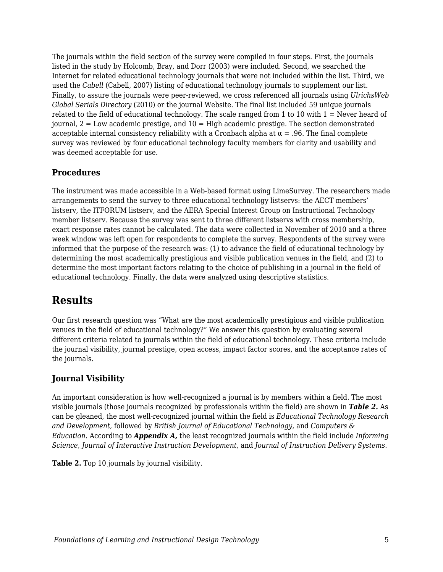The journals within the field section of the survey were compiled in four steps. First, the journals listed in the study by Holcomb, Bray, and Dorr (2003) were included. Second, we searched the Internet for related educational technology journals that were not included within the list. Third, we used the *Cabell* (Cabell, 2007) listing of educational technology journals to supplement our list. Finally, to assure the journals were peer-reviewed, we cross referenced all journals using *UlrichsWeb Global Serials Directory* (2010) or the journal Website. The final list included 59 unique journals related to the field of educational technology. The scale ranged from 1 to 10 with  $1 =$  Never heard of journal,  $2 =$  Low academic prestige, and  $10 =$  High academic prestige. The section demonstrated acceptable internal consistency reliability with a Cronbach alpha at  $\alpha = 0.96$ . The final complete survey was reviewed by four educational technology faculty members for clarity and usability and was deemed acceptable for use.

### **Procedures**

The instrument was made accessible in a Web-based format using LimeSurvey. The researchers made arrangements to send the survey to three educational technology listservs: the AECT members' listserv, the ITFORUM listserv, and the AERA Special Interest Group on Instructional Technology member listserv. Because the survey was sent to three different listservs with cross membership, exact response rates cannot be calculated. The data were collected in November of 2010 and a three week window was left open for respondents to complete the survey. Respondents of the survey were informed that the purpose of the research was: (1) to advance the field of educational technology by determining the most academically prestigious and visible publication venues in the field, and (2) to determine the most important factors relating to the choice of publishing in a journal in the field of educational technology. Finally, the data were analyzed using descriptive statistics.

# **Results**

Our first research question was "What are the most academically prestigious and visible publication venues in the field of educational technology?" We answer this question by evaluating several different criteria related to journals within the field of educational technology. These criteria include the journal visibility, journal prestige, open access, impact factor scores, and the acceptance rates of the journals.

### **Journal Visibility**

An important consideration is how well-recognized a journal is by members within a field. The most visible journals (those journals recognized by professionals within the field) are shown in *Table 2.* As can be gleaned, the most well-recognized journal within the field is *Educational Technology Research and Development,* followed by *British Journal of Educational Technology,* and *Computers & Education.* According to *Appendix A,* the least recognized journals within the field include *Informing Science, Journal of Interactive Instruction Development,* and *Journal of Instruction Delivery Systems.*

**Table 2.** Top 10 journals by journal visibility.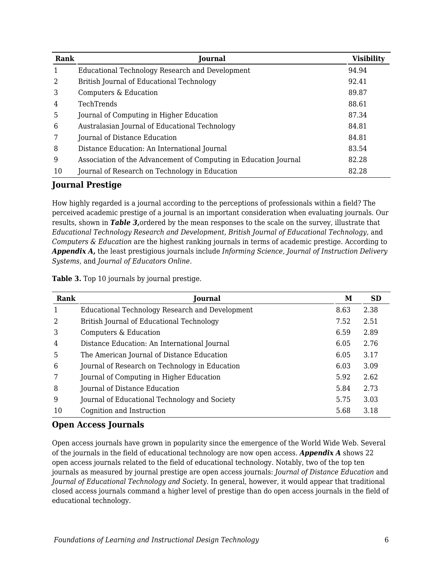| Rank | Journal                                                          | <b>Visibility</b> |
|------|------------------------------------------------------------------|-------------------|
|      | Educational Technology Research and Development                  | 94.94             |
| 2    | British Journal of Educational Technology                        | 92.41             |
| 3    | Computers & Education                                            | 89.87             |
| 4    | TechTrends                                                       | 88.61             |
| 5    | Journal of Computing in Higher Education                         | 87.34             |
| 6    | Australasian Journal of Educational Technology                   | 84.81             |
|      | Journal of Distance Education                                    | 84.81             |
| 8    | Distance Education: An International Journal                     | 83.54             |
| 9    | Association of the Advancement of Computing in Education Journal | 82.28             |
| 10   | Journal of Research on Technology in Education                   | 82.28             |

#### **Journal Prestige**

How highly regarded is a journal according to the perceptions of professionals within a field? The perceived academic prestige of a journal is an important consideration when evaluating journals. Our results, shown in *Table 3,*ordered by the mean responses to the scale on the survey, illustrate that *Educational Technology Research and Development, British Journal of Educational Technology,* and *Computers & Education* are the highest ranking journals in terms of academic prestige. According to *Appendix A,* the least prestigious journals include *Informing Science, Journal of Instruction Delivery Systems,* and *Journal of Educators Online.*

**Table 3.** Top 10 journals by journal prestige.

| Rank | Journal                                         | М    | <b>SD</b> |
|------|-------------------------------------------------|------|-----------|
| 1    | Educational Technology Research and Development | 8.63 | 2.38      |
| 2    | British Journal of Educational Technology       | 7.52 | 2.51      |
| 3    | Computers & Education                           | 6.59 | 2.89      |
| 4    | Distance Education: An International Journal    | 6.05 | 2.76      |
| 5    | The American Journal of Distance Education      | 6.05 | 3.17      |
| 6    | Journal of Research on Technology in Education  | 6.03 | 3.09      |
| 7    | Journal of Computing in Higher Education        | 5.92 | 2.62      |
| 8    | Journal of Distance Education                   | 5.84 | 2.73      |
| 9    | Journal of Educational Technology and Society   | 5.75 | 3.03      |
| 10   | Cognition and Instruction                       | 5.68 | 3.18      |

#### **Open Access Journals**

Open access journals have grown in popularity since the emergence of the World Wide Web. Several of the journals in the field of educational technology are now open access. *Appendix A* shows 22 open access journals related to the field of educational technology. Notably, two of the top ten journals as measured by journal prestige are open access journals: *Journal of Distance Education* and *Journal of Educational Technology and Society.* In general, however, it would appear that traditional closed access journals command a higher level of prestige than do open access journals in the field of educational technology.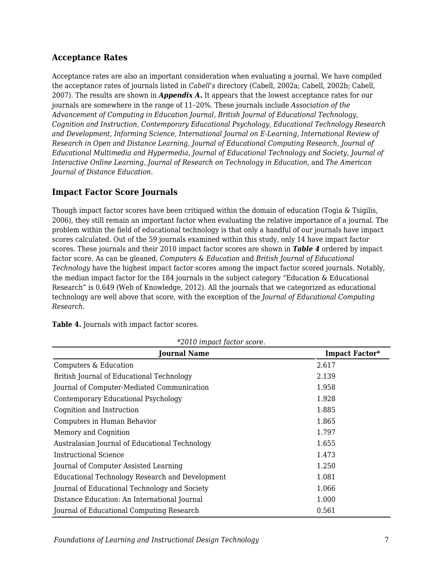#### **Acceptance Rates**

Acceptance rates are also an important consideration when evaluating a journal. We have compiled the acceptance rates of journals listed in *Cabell's* directory (Cabell, 2002a; Cabell, 2002b; Cabell, 2007). The results are shown in *Appendix A.* It appears that the lowest acceptance rates for our journals are somewhere in the range of 11–20%. These journals include *Association of the Advancement of Computing in Education Journal, British Journal of Educational Technology, Cognition and Instruction, Contemporary Educational Psychology, Educational Technology Research and Development, Informing Science, International Journal on E-Learning, International Review of Research in Open and Distance Learning, Journal of Educational Computing Research, Journal of Educational Multimedia and Hypermedia, Journal of Educational Technology and Society, Journal of Interactive Online Learning, Journal of Research on Technology in Education,* and *The American Journal of Distance Education.*

#### **Impact Factor Score Journals**

Though impact factor scores have been critiqued within the domain of education (Togia & Tsigilis, 2006), they still remain an important factor when evaluating the relative importance of a journal. The problem within the field of educational technology is that only a handful of our journals have impact scores calculated. Out of the 59 journals examined within this study, only 14 have impact factor scores. These journals and their 2010 impact factor scores are shown in *Table 4* ordered by impact factor score. As can be gleaned, *Computers & Education* and *British Journal of Educational Technology* have the highest impact factor scores among the impact factor scored journals. Notably, the median impact factor for the 184 journals in the subject category "Education & Educational Research" is 0.649 (Web of Knowledge, 2012). All the journals that we categorized as educational technology are well above that score, with the exception of the *Journal of Educational Computing Research.*

| *2010 impact factor score.                      |                |  |  |  |
|-------------------------------------------------|----------------|--|--|--|
| <b>Journal Name</b>                             | Impact Factor* |  |  |  |
| Computers & Education                           | 2.617          |  |  |  |
| British Journal of Educational Technology       | 2.139          |  |  |  |
| Journal of Computer-Mediated Communication      | 1.958          |  |  |  |
| Contemporary Educational Psychology             | 1.928          |  |  |  |
| Cognition and Instruction                       | 1.885          |  |  |  |
| Computers in Human Behavior                     | 1.865          |  |  |  |
| Memory and Cognition                            | 1.797          |  |  |  |
| Australasian Journal of Educational Technology  | 1.655          |  |  |  |
| Instructional Science                           | 1.473          |  |  |  |
| Journal of Computer Assisted Learning           | 1.250          |  |  |  |
| Educational Technology Research and Development | 1.081          |  |  |  |
| Journal of Educational Technology and Society   | 1.066          |  |  |  |
| Distance Education: An International Journal    | 1.000          |  |  |  |
| Journal of Educational Computing Research       | 0.561          |  |  |  |

**Table 4.** Journals with impact factor scores.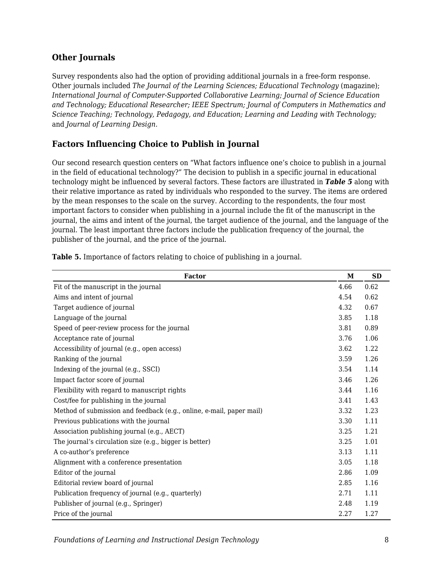#### **Other Journals**

Survey respondents also had the option of providing additional journals in a free-form response. Other journals included *The Journal of the Learning Sciences; Educational Technology* (magazine); *International Journal of Computer-Supported Collaborative Learning; Journal of Science Education and Technology; Educational Researcher; IEEE Spectrum; Journal of Computers in Mathematics and Science Teaching; Technology, Pedagogy, and Education; Learning and Leading with Technology;* and *Journal of Learning Design.*

### **Factors Influencing Choice to Publish in Journal**

Our second research question centers on "What factors influence one's choice to publish in a journal in the field of educational technology?" The decision to publish in a specific journal in educational technology might be influenced by several factors. These factors are illustrated in *Table 5* along with their relative importance as rated by individuals who responded to the survey. The items are ordered by the mean responses to the scale on the survey. According to the respondents, the four most important factors to consider when publishing in a journal include the fit of the manuscript in the journal, the aims and intent of the journal, the target audience of the journal, and the language of the journal. The least important three factors include the publication frequency of the journal, the publisher of the journal, and the price of the journal.

| <b>Factor</b>                                                        | М    | <b>SD</b> |
|----------------------------------------------------------------------|------|-----------|
| Fit of the manuscript in the journal                                 | 4.66 | 0.62      |
| Aims and intent of journal                                           | 4.54 | 0.62      |
| Target audience of journal                                           | 4.32 | 0.67      |
| Language of the journal                                              | 3.85 | 1.18      |
| Speed of peer-review process for the journal                         | 3.81 | 0.89      |
| Acceptance rate of journal                                           | 3.76 | 1.06      |
| Accessibility of journal (e.g., open access)                         | 3.62 | 1.22      |
| Ranking of the journal                                               | 3.59 | 1.26      |
| Indexing of the journal (e.g., SSCI)                                 | 3.54 | 1.14      |
| Impact factor score of journal                                       | 3.46 | 1.26      |
| Flexibility with regard to manuscript rights                         | 3.44 | 1.16      |
| Cost/fee for publishing in the journal                               | 3.41 | 1.43      |
| Method of submission and feedback (e.g., online, e-mail, paper mail) | 3.32 | 1.23      |
| Previous publications with the journal                               | 3.30 | 1.11      |
| Association publishing journal (e.g., AECT)                          | 3.25 | 1.21      |
| The journal's circulation size (e.g., bigger is better)              | 3.25 | 1.01      |
| A co-author's preference                                             | 3.13 | 1.11      |
| Alignment with a conference presentation                             | 3.05 | 1.18      |
| Editor of the journal                                                | 2.86 | 1.09      |
| Editorial review board of journal                                    | 2.85 | 1.16      |
| Publication frequency of journal (e.g., quarterly)                   | 2.71 | 1.11      |
| Publisher of journal (e.g., Springer)                                | 2.48 | 1.19      |
| Price of the journal                                                 | 2.27 | 1.27      |

**Table 5.** Importance of factors relating to choice of publishing in a journal.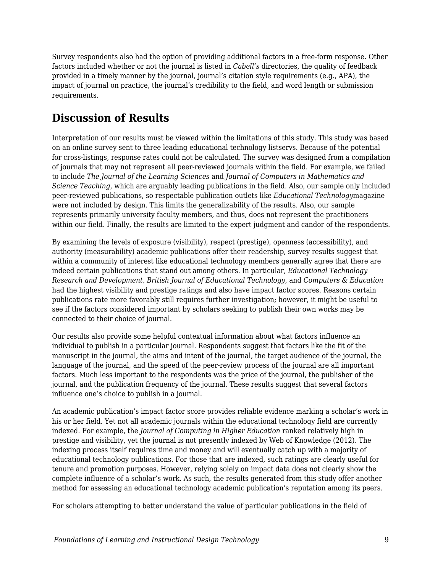Survey respondents also had the option of providing additional factors in a free-form response. Other factors included whether or not the journal is listed in *Cabell's* directories, the quality of feedback provided in a timely manner by the journal, journal's citation style requirements (e.g., APA), the impact of journal on practice, the journal's credibility to the field, and word length or submission requirements.

# **Discussion of Results**

Interpretation of our results must be viewed within the limitations of this study. This study was based on an online survey sent to three leading educational technology listservs. Because of the potential for cross-listings, response rates could not be calculated. The survey was designed from a compilation of journals that may not represent all peer-reviewed journals within the field. For example, we failed to include *The Journal of the Learning Sciences* and *Journal of Computers in Mathematics and Science Teaching,* which are arguably leading publications in the field. Also, our sample only included peer-reviewed publications, so respectable publication outlets like *Educational Technology*magazine were not included by design. This limits the generalizability of the results. Also, our sample represents primarily university faculty members, and thus, does not represent the practitioners within our field. Finally, the results are limited to the expert judgment and candor of the respondents.

By examining the levels of exposure (visibility), respect (prestige), openness (accessibility), and authority (measurability) academic publications offer their readership, survey results suggest that within a community of interest like educational technology members generally agree that there are indeed certain publications that stand out among others. In particular, *Educational Technology Research and Development, British Journal of Educational Technology,* and *Computers & Education* had the highest visibility and prestige ratings and also have impact factor scores. Reasons certain publications rate more favorably still requires further investigation; however, it might be useful to see if the factors considered important by scholars seeking to publish their own works may be connected to their choice of journal.

Our results also provide some helpful contextual information about what factors influence an individual to publish in a particular journal. Respondents suggest that factors like the fit of the manuscript in the journal, the aims and intent of the journal, the target audience of the journal, the language of the journal, and the speed of the peer-review process of the journal are all important factors. Much less important to the respondents was the price of the journal, the publisher of the journal, and the publication frequency of the journal. These results suggest that several factors influence one's choice to publish in a journal.

An academic publication's impact factor score provides reliable evidence marking a scholar's work in his or her field. Yet not all academic journals within the educational technology field are currently indexed. For example, the *Journal of Computing in Higher Education* ranked relatively high in prestige and visibility, yet the journal is not presently indexed by Web of Knowledge (2012). The indexing process itself requires time and money and will eventually catch up with a majority of educational technology publications. For those that are indexed, such ratings are clearly useful for tenure and promotion purposes. However, relying solely on impact data does not clearly show the complete influence of a scholar's work. As such, the results generated from this study offer another method for assessing an educational technology academic publication's reputation among its peers.

For scholars attempting to better understand the value of particular publications in the field of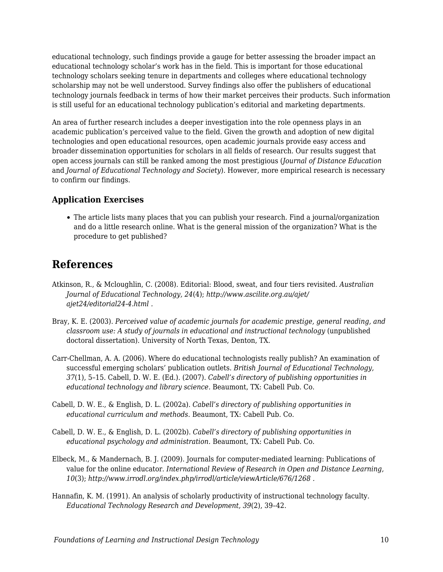educational technology, such findings provide a gauge for better assessing the broader impact an educational technology scholar's work has in the field. This is important for those educational technology scholars seeking tenure in departments and colleges where educational technology scholarship may not be well understood. Survey findings also offer the publishers of educational technology journals feedback in terms of how their market perceives their products. Such information is still useful for an educational technology publication's editorial and marketing departments.

An area of further research includes a deeper investigation into the role openness plays in an academic publication's perceived value to the field. Given the growth and adoption of new digital technologies and open educational resources, open academic journals provide easy access and broader dissemination opportunities for scholars in all fields of research. Our results suggest that open access journals can still be ranked among the most prestigious (*Journal of Distance Education* and *Journal of Educational Technology and Society*). However, more empirical research is necessary to confirm our findings.

#### **Application Exercises**

The article lists many places that you can publish your research. Find a journal/organization and do a little research online. What is the general mission of the organization? What is the procedure to get published?

# **References**

- Atkinson, R., & Mcloughlin, C. (2008). Editorial: Blood, sweat, and four tiers revisited. *Australian Journal of Educational Technology, 24*(4); *http://www.ascilite.org.au/ajet/ ajet24/editorial24-4.html .*
- Bray, K. E. (2003). *Perceived value of academic journals for academic prestige, general reading, and classroom use: A study of journals in educational and instructional technology* (unpublished doctoral dissertation). University of North Texas, Denton, TX.
- Carr-Chellman, A. A. (2006). Where do educational technologists really publish? An examination of successful emerging scholars' publication outlets. *British Journal of Educational Technology, 37*(1), 5–15. Cabell, D. W. E. (Ed.). (2007). *Cabell's directory of publishing opportunities in educational technology and library science.* Beaumont, TX: Cabell Pub. Co.
- Cabell, D. W. E., & English, D. L. (2002a). *Cabell's directory of publishing opportunities in educational curriculum and methods.* Beaumont, TX: Cabell Pub. Co.
- Cabell, D. W. E., & English, D. L. (2002b). *Cabell's directory of publishing opportunities in educational psychology and administration.* Beaumont, TX: Cabell Pub. Co.
- Elbeck, M., & Mandernach, B. J. (2009). Journals for computer-mediated learning: Publications of value for the online educator. *International Review of Research in Open and Distance Learning, 10*(3); *http://www.irrodl.org/index.php/irrodl/article/viewArticle/676/1268 .*
- Hannafin, K. M. (1991). An analysis of scholarly productivity of instructional technology faculty. *Educational Technology Research and Development, 39*(2), 39–42.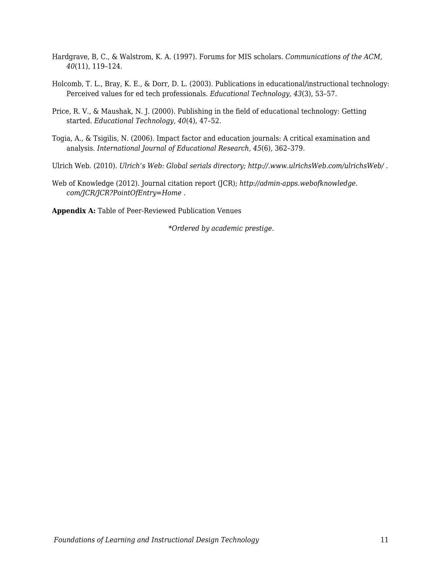- Hardgrave, B, C., & Walstrom, K. A. (1997). Forums for MIS scholars. *Communications of the ACM, 40*(11), 119–124.
- Holcomb, T. L., Bray, K. E., & Dorr, D. L. (2003). Publications in educational/instructional technology: Perceived values for ed tech professionals. *Educational Technology, 43*(3), 53–57.
- Price, R. V., & Maushak, N. J. (2000). Publishing in the field of educational technology: Getting started. *Educational Technology, 40*(4), 47–52.
- Togia, A., & Tsigilis, N. (2006). Impact factor and education journals: A critical examination and analysis. *International Journal of Educational Research, 45*(6), 362–379.

Ulrich Web. (2010). *Ulrich's Web: Global serials directory; http://.www.ulrichsWeb.com/ulrichsWeb/ .*

Web of Knowledge (2012). Journal citation report (JCR); *http://admin-apps.webofknowledge. com/JCR/JCR?PointOfEntry=Home .*

**Appendix A:** Table of Peer-Reviewed Publication Venues

*\*Ordered by academic prestige.*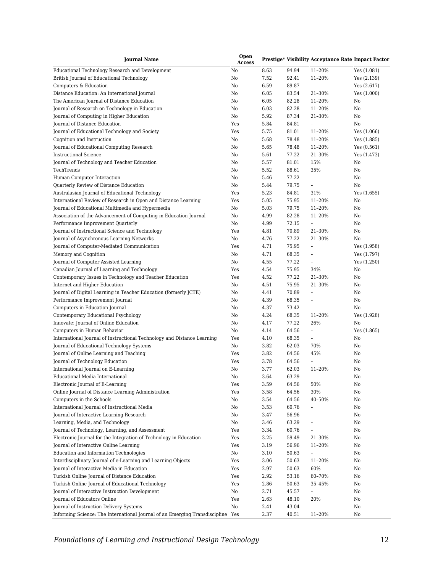| <b>Journal Name</b>                                                             | Open<br><b>Access</b> |      |       | Prestige* Visibility Acceptance Rate Impact Factor |               |
|---------------------------------------------------------------------------------|-----------------------|------|-------|----------------------------------------------------|---------------|
| Educational Technology Research and Development                                 | No                    | 8.63 | 94.94 | 11-20%                                             | Yes (1.081)   |
| British Journal of Educational Technology                                       | No                    | 7.52 | 92.41 | 11-20%                                             | Yes (2.139)   |
| Computers & Education                                                           | No                    | 6.59 | 89.87 | $\overline{\phantom{m}}$                           | Yes (2.617)   |
| Distance Education: An International Journal                                    | No                    | 6.05 | 83.54 | 21-30%                                             | Yes (1.000)   |
| The American Journal of Distance Education                                      | No                    | 6.05 | 82.28 | 11-20%                                             | No            |
| Journal of Research on Technology in Education                                  | No                    | 6.03 | 82.28 | 11-20%                                             | No            |
| Journal of Computing in Higher Education                                        | No                    | 5.92 | 87.34 | 21-30%                                             | No            |
| Journal of Distance Education                                                   | Yes                   | 5.84 | 84.81 | $\overline{\phantom{m}}$                           | No            |
| Journal of Educational Technology and Society                                   | Yes                   | 5.75 | 81.01 | 11-20%                                             | Yes $(1.066)$ |
| Cognition and Instruction                                                       | No                    | 5.68 | 78.48 | 11-20%                                             | Yes (1.885)   |
| Journal of Educational Computing Research                                       | No                    | 5.65 | 78.48 | 11-20%                                             | Yes (0.561)   |
| <b>Instructional Science</b>                                                    | No                    | 5.61 | 77.22 | 21-30%                                             | Yes $(1.473)$ |
| Journal of Technology and Teacher Education                                     | No                    | 5.57 | 81.01 | 15%                                                | No            |
| TechTrends                                                                      | No                    | 5.52 | 88.61 | 35%                                                | No            |
| Human-Computer Interaction                                                      | No                    | 5.46 | 77.22 | $\overline{\phantom{0}}$                           | No            |
| Quarterly Review of Distance Education                                          | No                    | 5.44 | 79.75 | $\overline{\phantom{a}}$                           | No            |
| Australasian Journal of Educational Technology                                  | Yes                   | 5.23 | 84.81 | 31%                                                | Yes (1.655)   |
| International Review of Research in Open and Distance Learning                  | Yes                   | 5.05 | 75.95 | 11-20%                                             | No            |
| Journal of Educational Multimedia and Hypermedia                                | No                    | 5.03 | 79.75 | 11-20%                                             | No            |
| Association of the Advancement of Computing in Education Journal                | No                    | 4.99 | 82.28 | 11-20%                                             | No            |
| Performance Improvement Quarterly                                               | No                    | 4.99 | 72.15 | $\overline{\phantom{0}}$                           | No            |
| Journal of Instructional Science and Technology                                 | Yes                   | 4.81 | 70.89 | 21-30%                                             | No            |
| Journal of Asynchronous Learning Networks                                       | No                    | 4.76 | 77.22 | 21-30%                                             | No            |
| Journal of Computer-Mediated Communication                                      | Yes                   | 4.71 | 75.95 | $\overline{\phantom{a}}$                           | Yes (1.958)   |
| Memory and Cognition                                                            | No                    | 4.71 | 68.35 | $\overline{\phantom{a}}$                           | Yes (1.797)   |
| Journal of Computer Assisted Learning                                           | No                    | 4.55 | 77.22 | $\overline{\phantom{a}}$                           | Yes $(1.250)$ |
| Canadian Journal of Learning and Technology                                     | Yes                   | 4.54 | 75.95 | 34%                                                | No            |
| Contemporary Issues in Technology and Teacher Education                         | Yes                   | 4.52 | 77.22 | 21-30%                                             | No            |
| Internet and Higher Education                                                   | No                    | 4.51 | 75.95 | 21-30%                                             | No            |
| Journal of Digital Learning in Teacher Education (formerly JCTE)                | No                    | 4.41 | 70.89 | $\overline{\phantom{a}}$                           | No            |
| Performance Improvement Journal                                                 | No                    | 4.39 | 68.35 | $\overline{\phantom{a}}$                           | No            |
| Computers in Education Journal                                                  | No                    | 4.37 | 73.42 | $\overline{\phantom{a}}$                           | No            |
| Contemporary Educational Psychology                                             | No                    | 4.24 | 68.35 | 11-20%                                             | Yes (1.928)   |
| Innovate: Journal of Online Education                                           | No                    | 4.17 | 77.22 | 26%                                                | No            |
| Computers in Human Behavior                                                     | No                    | 4.14 | 64.56 | $\overline{\phantom{a}}$                           | Yes (1.865)   |
| International Journal of Instructional Technology and Distance Learning         | Yes                   | 4.10 | 68.35 | $\overline{\phantom{a}}$                           | No            |
| Journal of Educational Technology Systems                                       | No                    | 3.82 | 62.03 | 70%                                                | No            |
| Journal of Online Learning and Teaching                                         | Yes                   | 3.82 | 64.56 | 45%                                                | No            |
| Journal of Technology Education                                                 | Yes                   | 3.78 | 64.56 | $\overline{\phantom{a}}$                           | No            |
| International Journal on E-Learning                                             | No                    | 3.77 | 62.03 | 11-20%                                             | No            |
| <b>Educational Media International</b>                                          | No                    | 3.64 | 63.29 |                                                    | No            |
| Electronic Journal of E-Learning                                                | Yes                   | 3.59 | 64.56 | 50%                                                | No            |
| Online Journal of Distance Learning Administration                              | Yes                   | 3.58 | 64.56 | 30%                                                | No            |
| Computers in the Schools                                                        | No                    | 3.54 | 64.56 | 40-50%                                             | No            |
| International Journal of Instructional Media                                    | No                    | 3.53 | 60.76 | $\overline{\phantom{m}}$                           | No            |
| Journal of Interactive Learning Research                                        | No                    | 3.47 | 56.96 | $\overline{\phantom{a}}$                           | No            |
| Learning, Media, and Technology                                                 | No                    | 3.46 | 63.29 | $\overline{\phantom{a}}$                           | No            |
| Journal of Technology, Learning, and Assessment                                 | Yes                   | 3.34 | 60.76 | $\overline{\phantom{0}}$                           | No            |
| Electronic Journal for the Integration of Technology in Education               | Yes                   | 3.25 | 59.49 | 21-30%                                             | No            |
| Journal of Interactive Online Learning                                          | Yes                   | 3.19 | 56.96 | 11-20%                                             | No            |
| Education and Information Technologies                                          | No                    | 3.10 | 50.63 | $\overline{\phantom{a}}$                           | No            |
| Interdisciplinary Journal of e-Learning and Learning Objects                    | Yes                   | 3.06 | 50.63 | 11-20%                                             | No            |
| Journal of Interactive Media in Education                                       | Yes                   | 2.97 | 50.63 | 60%                                                | No            |
| Turkish Online Journal of Distance Education                                    | Yes                   | 2.92 | 53.16 | 60-70%                                             | No            |
| Turkish Online Journal of Educational Technology                                | Yes                   | 2.86 | 50.63 | 35-45%                                             | No            |
| Journal of Interactive Instruction Development                                  | No                    | 2.71 | 45.57 | $\overline{\phantom{a}}$                           | No            |
| Journal of Educators Online                                                     | Yes                   | 2.63 | 48.10 | 20%                                                | No            |
| Journal of Instruction Delivery Systems                                         | No                    | 2.41 | 43.04 | -                                                  | No            |
| Informing Science: The International Journal of an Emerging Transdiscipline Yes |                       | 2.37 | 40.51 | 11-20%                                             | No            |

*Foundations of Learning and Instructional Design Technology* 12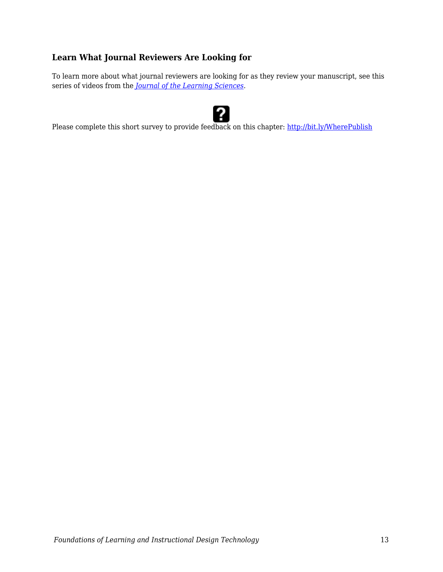### **Learn What Journal Reviewers Are Looking for**

To learn more about what journal reviewers are looking for as they review your manuscript, see this series of videos from the *[Journal of the Learning Sciences.](https://www.youtube.com/channel/UCjKXAQjz3oX2yr3eYkNJ0jw/videos)*



Please complete this short survey to provide feedback on this chapter: <http://bit.ly/WherePublish>